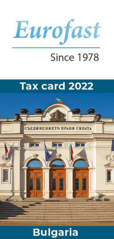

# **Since 1978**



## **Bulgaria**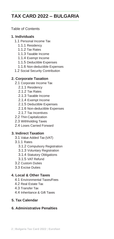## **TAX CARD 2022 – BULGARIA**

#### Table of Contents

#### **1. Individuals**

- 1.1 Personal Income Tax
	- 1.1.1 Residency
	- 1.1.2 Tax Rates
	- 1.1.3 Taxable Income
	- 1.1.4 Exempt Income
	- 1.1.5 Deductible Expenses
	- 1.1.6 Non-deductible Expenses
- 1.2 Social Security Contribution

#### **2. Corporate Taxation**

- 2.1 Corporate Income Tax
	- 2.1.1 Residency
	- 2.1.2 Tax Rates
	- 2.1.3 Taxable Income
	- 2.1.4 Exempt Income
	- 2.1.5 Deductible Expenses
	- 2.1.6 Non-deductible Expenses
	- 2.1.7 Tax Incentives
- 2.2 Thin Capitalization
- 2.3 Withholding Taxes
- 2.4 Loses Carried Forward

#### **3. Indirect Taxation**

- 3.1 Value Added Tax (VAT)
- 3.1.1 Rates
	- 3.1.2 Compulsory Registration
	- 3.1.3 Voluntary Registration
	- 3.1.4 Statutory Obligations
	- 3.1.5 VAT Refund
- 3.2 Custom Duties
- 3.3 Excise Duties

#### **4. Local & Other Taxes**

- 4.1 Environmental Taxes/Fees
- 4.2 Real Estate Tax
- 4.3 Transfer Tax
- 4.4 Inheritance & Gift Taxes

#### **5. Tax Calendar**

#### **6. Administrative Penalties**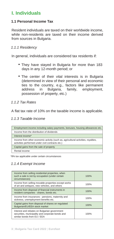## **I. Individuals**

#### **1.1 Personal Income Tax**

Resident individuals are taxed on their worldwide income, while non-residents are taxed on their income derived from sources in Bulgaria.

#### *1.1.1 Residency*

In general, individuals are considered tax residents if:

- They have stayed in Bulgaria for more than 183 days in any 12-month period; or
- The center of their vital interests is in Bulgaria (determined in view of their personal and economic ties to the country, e.g., factors like permanent address in Bulgaria, family, employment, possession of property, etc.)

#### *1.1.2 Tax Rates*

A flat tax rate of 10% on the taxable income is applicable.

#### *1.1.3 Taxable Income*

| Employment income including salary payments, bonuses, housing allowances etc.                                                         |
|---------------------------------------------------------------------------------------------------------------------------------------|
| Income from the distribution of dividends                                                                                             |
| Interest income*                                                                                                                      |
| Income from other economic activity (such as, agricultural activities, royalties,<br>activities performed under civil contracts etc.) |
| Capital gains from the sale of property                                                                                               |
| Rental income                                                                                                                         |

\*8% tax applicable under certain circumstances

#### *1.1.4 Exempt Income*

| Income from selling residential properties, when<br>such a sale is not by occupation (under certain<br>circumstances)           | 100% |
|---------------------------------------------------------------------------------------------------------------------------------|------|
| Income from selling movable properties except works<br>of art and antiques, new vehicles, and others                            | 100% |
| Income from disposal of financial instruments in<br>resident companies - shares, bonds etc.                                     | 100% |
| Income from insurances - pensions, maternity and<br>sickness, unemployment benefits etc.                                        | 100% |
| Capital gains from disposal of shares on regulated<br>Bulgarian/EU/EEA stock market                                             | 100% |
| Interest and rebates on Bulgarian government<br>securities, municipality and corporate bonds and<br>similar bonds from EU / EEA | 100% |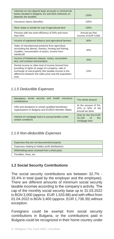| Interests on non-deposit bank accounts in commercial<br>banks situated in Bulgaria, EU and EEA (interests on<br>deposits are taxable)                                                                                              | 100%                                   |
|------------------------------------------------------------------------------------------------------------------------------------------------------------------------------------------------------------------------------------|----------------------------------------|
| Insurance claims (benefits)                                                                                                                                                                                                        | 100%                                   |
| Rent, lease or similar for use of agricultural land                                                                                                                                                                                | 100%                                   |
| Persons with low work efficiency of 50% and more<br>than $50%$                                                                                                                                                                     | Annual tax-free<br>income of EUR 4,050 |
| Income of registered tobacco and agricultural farmers                                                                                                                                                                              | 60%                                    |
| Sales of manufactured products from agriculture<br>(excluding the above), forestry, hunting and fishing,<br>royalties, remuneration of actors; income from<br>handicraft                                                           | 40%                                    |
| Income of freelancers (lawyer, notary, accountant,<br>etc); civil contract remuneration                                                                                                                                            | 25%                                    |
| Rental income or other kind of income formed from<br>providing of rights of usage of a property; sale or<br>exchange of real property (the taxable income is the<br>difference between the sales price and the acquisition<br>one) | 10%                                    |

#### *1.1.5 Deductible Expenses*

| Mandatory social security and health insurance<br>contributions                                            | The whole amount                                             |
|------------------------------------------------------------------------------------------------------------|--------------------------------------------------------------|
| Gifts and donations to certain qualified beneficiary<br>organisations in Bulgaria and EU/EEA Member States | At the amount of 5%,<br>15% or 50% of the<br>annual tax base |
| Interest on mortgage loans to young families under<br>certain conditions                                   | Only for the first EUR<br>51.130 of<br>the<br>mortgage loan  |

#### *1.1.6 Non-deductible Expenses*

| Expenses that are not documented properly        |
|--------------------------------------------------|
| Expenses relating to hidden profit distributions |
| Withholding taxes received from a third party    |
| Penalties, fines, etc.                           |

#### **1.2 Social Security Contributions**

The social security contributions are between 32.7% - 33.4% in total (paid by the employer and the employee). There are different amounts of minimum social security taxable incomes according to the company's activity. The cap of the monthly social security base up to 31.03.2022 is BGN 3,000 (approx. EUR 1,533.88) and with effect from 01.04.2022 is BGN 3,400 (approx. EUR 1,738.39) without exception.

Foreigners could be exempt from social security contributions in Bulgaria, or the contributions paid in Bulgaria could be recognized in their home country under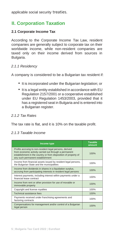applicable social security treaties.

## **II. Corporation Taxation**

#### **2.1 Corporate Income Tax**

According to the Corporate Income Tax Law, resident companies are generally subject to corporate tax on their worldwide income, while non-resident companies are taxed only on their income derived from sources in Bulgaria.

#### *2.1.1 Residency*

A company is considered to be a Bulgarian tax resident if:

- It is incorporated under the Bulgarian legislation; or
- It is a legal entity established in accordance with EU Regulation 2157/2001 or a cooperative established under EU Regulation 1453/2003, provided that it has a registered seat in Bulgaria and is entered into a Bulgarian register.

#### *2.1.2 Tax Rates*

The tax rate is flat, and it is 10% on the taxable profit.

#### *2.1.3 Taxable Income*

| Income type                                                                                                                                                                                                              | <b>Taxable</b><br>amount |
|--------------------------------------------------------------------------------------------------------------------------------------------------------------------------------------------------------------------------|--------------------------|
| Profits accruing to non-resident legal persons, derived<br>from economic activity carried out through a permanent<br>establishment in the country or from disposition of property of<br>any such permanent establishment | 100%                     |
| Income from financial assets issued by resident legal persons,<br>the Bulgarian State and the municipalities                                                                                                             | 100%                     |
| Income from dividends in shares in a liquidation surplus,<br>accruing from participating interests in resident legal persons                                                                                             | 100%                     |
| Interest payments, including interest within payments under a<br>financial lease contract                                                                                                                                | 100%                     |
| Income from rent or other provision for use of movable or<br>immovable property                                                                                                                                          | 100%                     |
| Copyright and license royalties                                                                                                                                                                                          | 100%                     |
| Technical assistance fees                                                                                                                                                                                                | 100%                     |
| Payments received under franchising agreements and<br>factoring contracts                                                                                                                                                | 100%                     |
| Compensations for management and/or control of a Bulgarian<br>legal person                                                                                                                                               | 100%                     |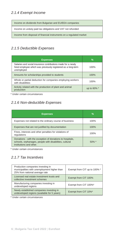#### *2.1.4 Exempt Income*

Income on dividends from Bulgarian and EU/EEA companies

Income on unduly paid tax obligations and VAT not refunded

Income from disposal of financial instruments on a regulated market

#### *2.1.5 Deductible Expenses*

| <b>Expenses</b>                                                                                                                             | $\frac{9}{6}$ |
|---------------------------------------------------------------------------------------------------------------------------------------------|---------------|
| Salaries and social insurance contributions made for a newly<br>hired employee which was previously registered as a long-term<br>unemployed | 100%          |
| Amounts for scholarships provided to students                                                                                               | 100%          |
| Whole or partial deduction for companies employing workers<br>with disabilities                                                             | 100%          |
| Activity related with the production of plant and animal<br>production                                                                      | up to 60% *   |

\* Under certain circumstances

#### *2.1.6 Non-deductible Expenses*

| <b>Expenses</b>                                                                                                                                 | %        |
|-------------------------------------------------------------------------------------------------------------------------------------------------|----------|
| Expenses not related to the ordinary course of business                                                                                         | 100%     |
| Expenses that are not justified by documentation                                                                                                | 100%     |
| Fines, interests and other penalties for violations of<br>regulations                                                                           | 100%     |
| Donations - with the exception of donations to hospitals,<br>schools, orphanages, people with disabilities, cultural<br>institutions and other. | $50\%$ * |

\* Under certain circumstances

#### *2.1.7 Tax Incentives*

| Production companies investing in<br>municipalities with unemployment higher than<br>25% from national average rate | Exempt from CIT up to 100% * |
|---------------------------------------------------------------------------------------------------------------------|------------------------------|
| Licensed real estate investment trusts and<br>collective investment schemes                                         | Exempt from CIT 100%         |
| Manufacturing companies investing in<br>undeveloped regions                                                         | Exempt from CIT 100%*        |
| Newly established companies investing in<br>undeveloped regions (available for 5 years)                             | Exempt from CIT 10%*         |

\* Under certain circumstances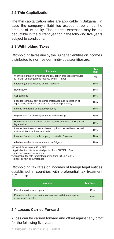#### **2.2 Thin Capitalization**

The thin capitalization rules are applicable in Bulgaria in case the company's liabilities exceed three times the amount of its equity. The interest expenses may be tax deductible in the current year or in the following five years subject to conditions.

#### **2.3 Withholding Taxes**

Withholding taxes due by the Bulgarian entities on incomes distributed to non-resident individuals/entitiesare:

| <b>Incomes</b>                                                                                                              | $\overline{\text{Tax}}$<br>Rate |
|-----------------------------------------------------------------------------------------------------------------------------|---------------------------------|
| Withholding tax on dividends and liquidation proceeds distributed<br>to foreign entities (unless reduced by DTT rates) *    | 5%                              |
| Interests (unless reduced by DTT rates) **                                                                                  | 10%                             |
| Royalties***                                                                                                                | 10%                             |
| Capital gains                                                                                                               | 10%                             |
| Fees for technical services (incl. installation and integration of<br>equipment, marketing studies and consulting services) | 10%                             |
| Income from rental of movable property                                                                                      | 10%                             |
| Payment for franchise agreements and factoring                                                                              | 10%                             |
| Remuneration for providing of management services to Bulgarian<br>legal entities                                            | 10%                             |
| Income from financial assets issued by local tax residents, as well<br>as transactions in financial assets                  | 10%                             |
| Incomes from immovable property situated in Bulgaria                                                                        | 10%                             |
| All other taxable incomes sourced in Bulgaria                                                                               | 10%                             |

\*0% WHT for entities in EU / EEA

\*\*Applicable tax rate for related parties from EU/EEA is 5% (under certain circumstances)

\*\*\*Applicable tax rate for related parties from EU/EEA is 5% (under certain circumstances)

Withholding tax rates on incomes of foreign legal entities established in countries with preferential tax treatment (offshore):

| <b>Incomes</b>                                                                       | <b>Tax Rate</b> |
|--------------------------------------------------------------------------------------|-----------------|
| Fees for services and rights                                                         | 10%             |
| Penalties and compensations of any kind, with the exception<br>of insurance benefits | 10%             |

#### **2.4 Losses Carried Forward**

A loss can be carried forward and offset against any profit for the following five years.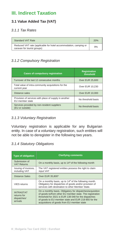### **III. Indirect Taxation**

#### **3.1 Value Added Tax (VAT)**

#### *3.1.1 Tax Rates*

| <b>Standard VAT Rate</b>                                                                        | 20% |
|-------------------------------------------------------------------------------------------------|-----|
| Reduced VAT rate (applicable for hotel accommodation, camping or<br>caravan for tourist groups) | 9%  |

#### *3.1.2 Compulsory Registration*

| <b>Cases of compulsory registration</b>                                  | <b>Registration</b><br>threshold |
|--------------------------------------------------------------------------|----------------------------------|
| Turnover of the last 12 consecutive months                               | <b>Over EUR 25,600</b>           |
| Total value of intra-community acquisitions for the<br>current year      | Over EUR 10,230                  |
| Distance sales                                                           | <b>Over EUR 10,000</b>           |
| Provision of services with place of supply in another<br>EU member state | No threshold basis               |
| Services provided by non-resident suppliers<br>(EU or outside)           | No threshold basis               |

#### *3.1.3 Voluntary Registration*

Voluntary registration is applicable for any Bulgarian entity. In case of a voluntary registration, such entities will not be able to deregister in the following two years.

#### *3.1.4 Statutory Obligations*

| <b>Type of obligation</b>                                  | <b>Clarifying comments</b>                                                                                                                                                                                                                                                         |
|------------------------------------------------------------|------------------------------------------------------------------------------------------------------------------------------------------------------------------------------------------------------------------------------------------------------------------------------------|
| Submission of<br><b>VAT Returns</b>                        | On a monthly basis, up to 14 <sup>th</sup> of the following month                                                                                                                                                                                                                  |
| Issuing of invoices,<br>including VAT                      | The VAT registered entities possess the right to claim<br>input VAT                                                                                                                                                                                                                |
| Distance Sales                                             | Over EUR 35,800*                                                                                                                                                                                                                                                                   |
| <b>VIES</b> returns                                        | On a monthly basis, up to 14 <sup>th</sup> of the following month.<br>Obligatory for dispatches of goods and/or provision of<br>services with destination to other Member State.                                                                                                   |
| <b>INTRASTAT</b><br>returns for<br>dispatches/<br>arrivals | On a monthly basis. Obligatory for dispatches/acquisition<br>of goods to/from other EU member state. The registration<br>threshold for 2021 is EUR 138 048 for the dispatches<br>of goods to EU member state and EUR 219 855 for the<br>acquisitions of goods from EU member state |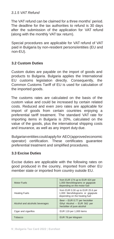#### *3.1.5 VAT Refund*

The VAT refund can be claimed for a three months' period. The deadline for the tax authorities to refund is 30 days after the submission of the application for VAT refund (along with the monthly VAT tax return).

Special procedures are applicable for VAT refund of VAT paid in Bulgaria by non-resident persons/entities (EU and non-EU).

#### **3.2 Custom Duties**

Custom duties are payable on the import of goods and products to Bulgaria. Bulgaria applies the International EU customs legislation directly. Consequently, the Common Customs Tariff of EU is used for calculation of the imported goods.

The customs rates are calculated on the basis of the custom value and could be increased by certain related costs. Reduced and even zero rates are applicable for import of goods from certain countries enjoying a preferential tariff treatment. The standard VAT rate for importing items in Bulgaria is 20%, calculated on the value of the goods, plus the international shipping costs and insurance, as well as any import duty due.

Bulgarianentitiescouldapplyfor AEO(approvedeconomic operator) certification. These certificates guarantee preferential treatment and simplified procedures.

#### **3.3 Excise Duties**

Excise duties are applicable with the following rates on good produced in the country, imported from other EU member state or imported from country outside EU.

| <b>Motor Fuels</b>              | from EUR 174 up to EUR 424 per<br>1,000 liters/kilograms or gigajoule<br>depending on the motor fuel     |
|---------------------------------|----------------------------------------------------------------------------------------------------------|
| <b>Heating Fuels</b>            | from EUR 0.30 up to EUR 25.6 per<br>1,000 liters/kilograms or gigajoule<br>depending on the heating fuel |
| Alcohol and alcoholic beverages | Beer - EUR 0.77 per hectoliter<br>Ethyl Alcohol - EUR 562 per<br>hectoliter of pure alcohol              |
| Cigar and cigarillos            | EUR 119 per 1,000 items                                                                                  |
| Tobacco                         | EUR 78 per kilogram                                                                                      |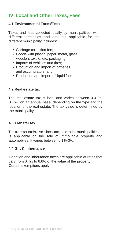## **IV. Local and Other Taxes, Fees**

#### **4.1 Environmental Taxes/Fees**

Taxes and fees collected locally by municipalities, with different thresholds and amounts applicable for the different municipality includes:

- Garbage collection fee;
- Goods with plastic, paper, metal, glass, wooden, textile, etc. packaging;
- Imports of vehicles and tires:
- Production and import of batteries and accumulators; and
- Production and import of liquid fuels.

#### **4.2 Real estate tax**

The real estate tax is local and varies between 0.01%- 0.45% on an annual base, depending on the type and the location of the real estate. The tax value is determined by the municipality.

#### **4.3 Transfer tax**

The transfer tax is also a local tax, paid to the municipalities. It is applicable on the sale of immovable property and automobiles. It varies between 0.1%-3%.

#### **4.4 Gift & Inheritance**

Donation and inheritance taxes are applicable at rates that vary from 0.4% to 6.6% of the value of the property. Certain exemptions apply.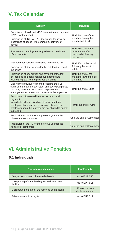## **V. Tax Calendar**

| <b>Activity</b>                                                                                                                                                                                                                     | <b>Deadline</b>                                                                  |  |
|-------------------------------------------------------------------------------------------------------------------------------------------------------------------------------------------------------------------------------------|----------------------------------------------------------------------------------|--|
| Submission of VAT and VIES declaration and payment<br>of VAT for the period                                                                                                                                                         | Until 14th day of the                                                            |  |
| Submission of INTRASTAT declaration for arrivals/<br>dispatches of goods (intercommunity delivery of<br>goods)                                                                                                                      | month following the<br>month it relates to                                       |  |
| Payments of monthly/quarterly advance contribution<br>of corporate tax                                                                                                                                                              | Until 15th day of the<br>current month/ of<br>the month following<br>the quarter |  |
| Payments for social contributions and income tax                                                                                                                                                                                    | Until 25th of the month                                                          |  |
| Submission of declarations for the outstanding social<br>insurance                                                                                                                                                                  | folowing the month it<br>relates to                                              |  |
| Submission of declaration and payment of the tax<br>on incomes from rent: non labour incomes and<br>withholding tax - for the previous 3 months                                                                                     | Until the end of the<br>month following the last<br>3 months                     |  |
| Closing the previous year and preparing the FS;<br>submitting the annual tax return and paying Corporate<br>Tax. Payments for tax on social expenditures,<br>management expenses and representative expenses                        | Until the end of June                                                            |  |
| Submission of personal income tax return and<br>payment.<br>Individuals, who received no other income than<br>employment one and were working only with one<br>employer during the tax year are not obliged to submit<br>tax return | Until the end of April                                                           |  |
| Publication of the FS for the previous year for the<br>Limited trade companies                                                                                                                                                      | Until the end of September                                                       |  |
| Publication of the FS for the previous year for the<br>Joint-stock companies                                                                                                                                                        | Until the end of September                                                       |  |

## **VI. Administrative Penalties**

#### **6.1 Individuals**

| <b>Non-compliance cases</b>                                      | <b>Fine/Penalty</b>                |
|------------------------------------------------------------------|------------------------------------|
| Delayed submission of return/declaration                         | up to EUR 256                      |
| Misreporting of data, leading to a reduction in tax<br>liability | up to EUR 511                      |
| Misreporting of data for the received or lent loans              | 10% of the non-<br>declared amount |
| Failure to submit or pay tax                                     | up to EUR 511                      |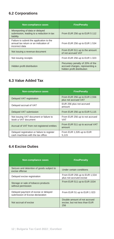#### **6.2 Corporations**

| <b>Non-compliance cases</b>                                                                         | <b>Fine/Penalty</b>                                                                              |
|-----------------------------------------------------------------------------------------------------|--------------------------------------------------------------------------------------------------|
| Misreporting of data or delayed<br>submission, leading to a reduction in tax<br>liability           | From EUR 256 up to EUR 5 112                                                                     |
| Failure to submit the application to the<br>annual tax return or an indication of<br>incorrect data | From EUR 256 up to EUR 1 534                                                                     |
| Not issuing a revenue document                                                                      | From EUR 511 up to the amount<br>of not accrued VAT                                              |
| Not issuing receipts                                                                                | From EUR 256 up to EUR 1 023                                                                     |
| Hidden profit distribution                                                                          | Pecuniary penalty of 20% of the<br>accrued charges, representing a<br>hidden profit distribution |

#### **6.3 Value Added Tax**

| Non-compliance cases                                                              | <b>Fine/Penalty</b>                                  |
|-----------------------------------------------------------------------------------|------------------------------------------------------|
| Delayed VAT registration                                                          | From EUR 256 up to EUR 2,556<br>plus not accrued VAT |
| Delayed accrual of VAT                                                            | EUR 256 plus not accrued<br>amount                   |
| Delayed VAT submission                                                            | From EUR 256 up to EUR 5,115                         |
| Not issuing VAT document or failure to<br>book a VAT document                     | From EUR 256 up to not accrued<br><b>VAT</b>         |
| Accrual of VAT from not registered entities                                       | From EUR 511 up to accrual VAT<br>amount             |
| Delayed registration or failure to register<br>cash machines with the tax office. | From EUR 1,535 up to EUR<br>5.115                    |

#### **6.4 Excise Duties**

| <b>Non-compliance cases</b>                                              | <b>Fine/Penalty</b>                                                  |
|--------------------------------------------------------------------------|----------------------------------------------------------------------|
| Seizure and detention of goods subject to<br>excise offense              | Under certain conditions                                             |
| Delayed excise registration                                              | From EUR 256 up to EUR 1,534<br>plus not accrued excise              |
| Storage or sale of tobacco products<br>without permission                | From EUR 511 up to EUR 1534                                          |
| Delayed payment of excise or delayed<br>submission of Excise declaration | From EUR 51 up to EUR 1 023                                          |
| Not accrual of excise                                                    | Double amount of not accrued<br>excise, but not less than EUR<br>256 |